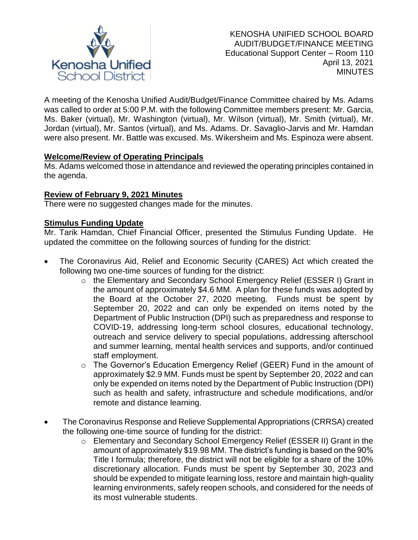

A meeting of the Kenosha Unified Audit/Budget/Finance Committee chaired by Ms. Adams was called to order at 5:00 P.M. with the following Committee members present: Mr. Garcia, Ms. Baker (virtual), Mr. Washington (virtual), Mr. Wilson (virtual), Mr. Smith (virtual), Mr. Jordan (virtual), Mr. Santos (virtual), and Ms. Adams. Dr. Savaglio-Jarvis and Mr. Hamdan were also present. Mr. Battle was excused. Ms. Wikersheim and Ms. Espinoza were absent.

# **Welcome/Review of Operating Principals**

Ms. Adams welcomed those in attendance and reviewed the operating principles contained in the agenda.

## **Review of February 9, 2021 Minutes**

There were no suggested changes made for the minutes.

## **Stimulus Funding Update**

Mr. Tarik Hamdan, Chief Financial Officer, presented the Stimulus Funding Update. He updated the committee on the following sources of funding for the district:

- The Coronavirus Aid, Relief and Economic Security (CARES) Act which created the following two one-time sources of funding for the district:
	- o the Elementary and Secondary School Emergency Relief (ESSER I) Grant in the amount of approximately \$4.6 MM. A plan for these funds was adopted by the Board at the October 27, 2020 meeting. Funds must be spent by September 20, 2022 and can only be expended on items noted by the Department of Public Instruction (DPI) such as preparedness and response to COVID-19, addressing long-term school closures, educational technology, outreach and service delivery to special populations, addressing afterschool and summer learning, mental health services and supports, and/or continued staff employment.
	- o The Governor's Education Emergency Relief (GEER) Fund in the amount of approximately \$2.9 MM. Funds must be spent by September 20, 2022 and can only be expended on items noted by the Department of Public Instruction (DPI) such as health and safety, infrastructure and schedule modifications, and/or remote and distance learning.
- The Coronavirus Response and Relieve Supplemental Appropriations (CRRSA) created the following one-time source of funding for the district:
	- o Elementary and Secondary School Emergency Relief (ESSER II) Grant in the amount of approximately \$19.98 MM. The district's funding is based on the 90% Title I formula; therefore, the district will not be eligible for a share of the 10% discretionary allocation. Funds must be spent by September 30, 2023 and should be expended to mitigate learning loss, restore and maintain high-quality learning environments, safely reopen schools, and considered for the needs of its most vulnerable students.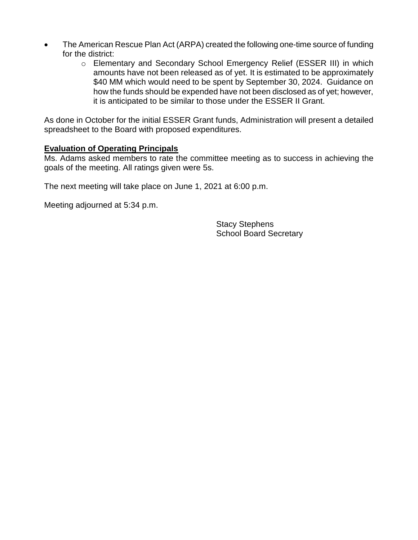- The American Rescue Plan Act (ARPA) created the following one-time source of funding for the district:
	- o Elementary and Secondary School Emergency Relief (ESSER III) in which amounts have not been released as of yet. It is estimated to be approximately \$40 MM which would need to be spent by September 30, 2024. Guidance on how the funds should be expended have not been disclosed as of yet; however, it is anticipated to be similar to those under the ESSER II Grant.

As done in October for the initial ESSER Grant funds, Administration will present a detailed spreadsheet to the Board with proposed expenditures.

## **Evaluation of Operating Principals**

Ms. Adams asked members to rate the committee meeting as to success in achieving the goals of the meeting. All ratings given were 5s.

The next meeting will take place on June 1, 2021 at 6:00 p.m.

Meeting adjourned at 5:34 p.m.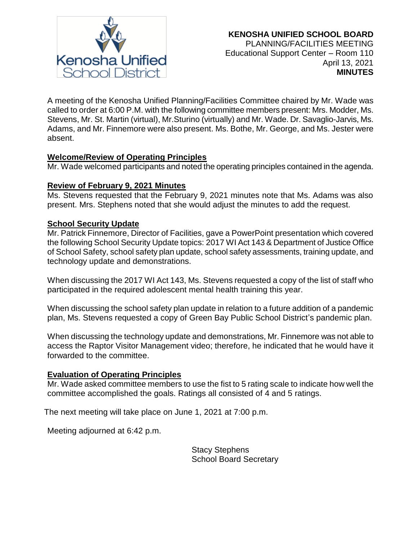

A meeting of the Kenosha Unified Planning/Facilities Committee chaired by Mr. Wade was called to order at 6:00 P.M. with the following committee members present: Mrs. Modder, Ms. Stevens, Mr. St. Martin (virtual), Mr.Sturino (virtually) and Mr. Wade. Dr. Savaglio-Jarvis, Ms. Adams, and Mr. Finnemore were also present. Ms. Bothe, Mr. George, and Ms. Jester were absent.

## **Welcome/Review of Operating Principles**

Mr. Wade welcomed participants and noted the operating principles contained in the agenda.

## **Review of February 9, 2021 Minutes**

Ms. Stevens requested that the February 9, 2021 minutes note that Ms. Adams was also present. Mrs. Stephens noted that she would adjust the minutes to add the request.

## **School Security Update**

Mr. Patrick Finnemore, Director of Facilities, gave a PowerPoint presentation which covered the following School Security Update topics: 2017 WI Act 143 & Department of Justice Office of School Safety, school safety plan update, school safety assessments, training update, and technology update and demonstrations.

When discussing the 2017 WI Act 143, Ms. Stevens requested a copy of the list of staff who participated in the required adolescent mental health training this year.

When discussing the school safety plan update in relation to a future addition of a pandemic plan, Ms. Stevens requested a copy of Green Bay Public School District's pandemic plan.

When discussing the technology update and demonstrations, Mr. Finnemore was not able to access the Raptor Visitor Management video; therefore, he indicated that he would have it forwarded to the committee.

## **Evaluation of Operating Principles**

Mr. Wade asked committee members to use the fist to 5 rating scale to indicate how well the committee accomplished the goals. Ratings all consisted of 4 and 5 ratings.

The next meeting will take place on June 1, 2021 at 7:00 p.m.

Meeting adjourned at 6:42 p.m.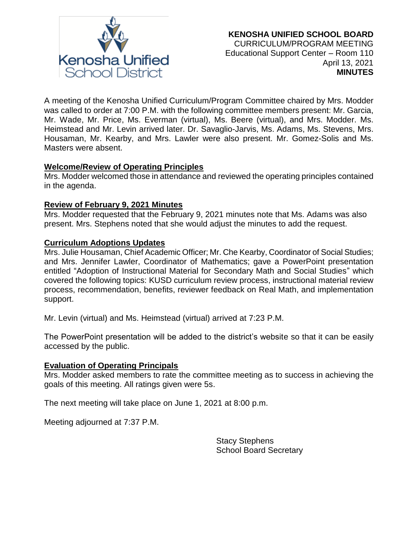

A meeting of the Kenosha Unified Curriculum/Program Committee chaired by Mrs. Modder was called to order at 7:00 P.M. with the following committee members present: Mr. Garcia, Mr. Wade, Mr. Price, Ms. Everman (virtual), Ms. Beere (virtual), and Mrs. Modder. Ms. Heimstead and Mr. Levin arrived later. Dr. Savaglio-Jarvis, Ms. Adams, Ms. Stevens, Mrs. Housaman, Mr. Kearby, and Mrs. Lawler were also present. Mr. Gomez-Solis and Ms. Masters were absent.

## **Welcome/Review of Operating Principles**

Mrs. Modder welcomed those in attendance and reviewed the operating principles contained in the agenda.

## **Review of February 9, 2021 Minutes**

Mrs. Modder requested that the February 9, 2021 minutes note that Ms. Adams was also present. Mrs. Stephens noted that she would adjust the minutes to add the request.

## **Curriculum Adoptions Updates**

Mrs. Julie Housaman, Chief Academic Officer; Mr. Che Kearby, Coordinator of Social Studies; and Mrs. Jennifer Lawler, Coordinator of Mathematics; gave a PowerPoint presentation entitled "Adoption of Instructional Material for Secondary Math and Social Studies" which covered the following topics: KUSD curriculum review process, instructional material review process, recommendation, benefits, reviewer feedback on Real Math, and implementation support.

Mr. Levin (virtual) and Ms. Heimstead (virtual) arrived at 7:23 P.M.

The PowerPoint presentation will be added to the district's website so that it can be easily accessed by the public.

## **Evaluation of Operating Principals**

Mrs. Modder asked members to rate the committee meeting as to success in achieving the goals of this meeting. All ratings given were 5s.

The next meeting will take place on June 1, 2021 at 8:00 p.m.

Meeting adjourned at 7:37 P.M.